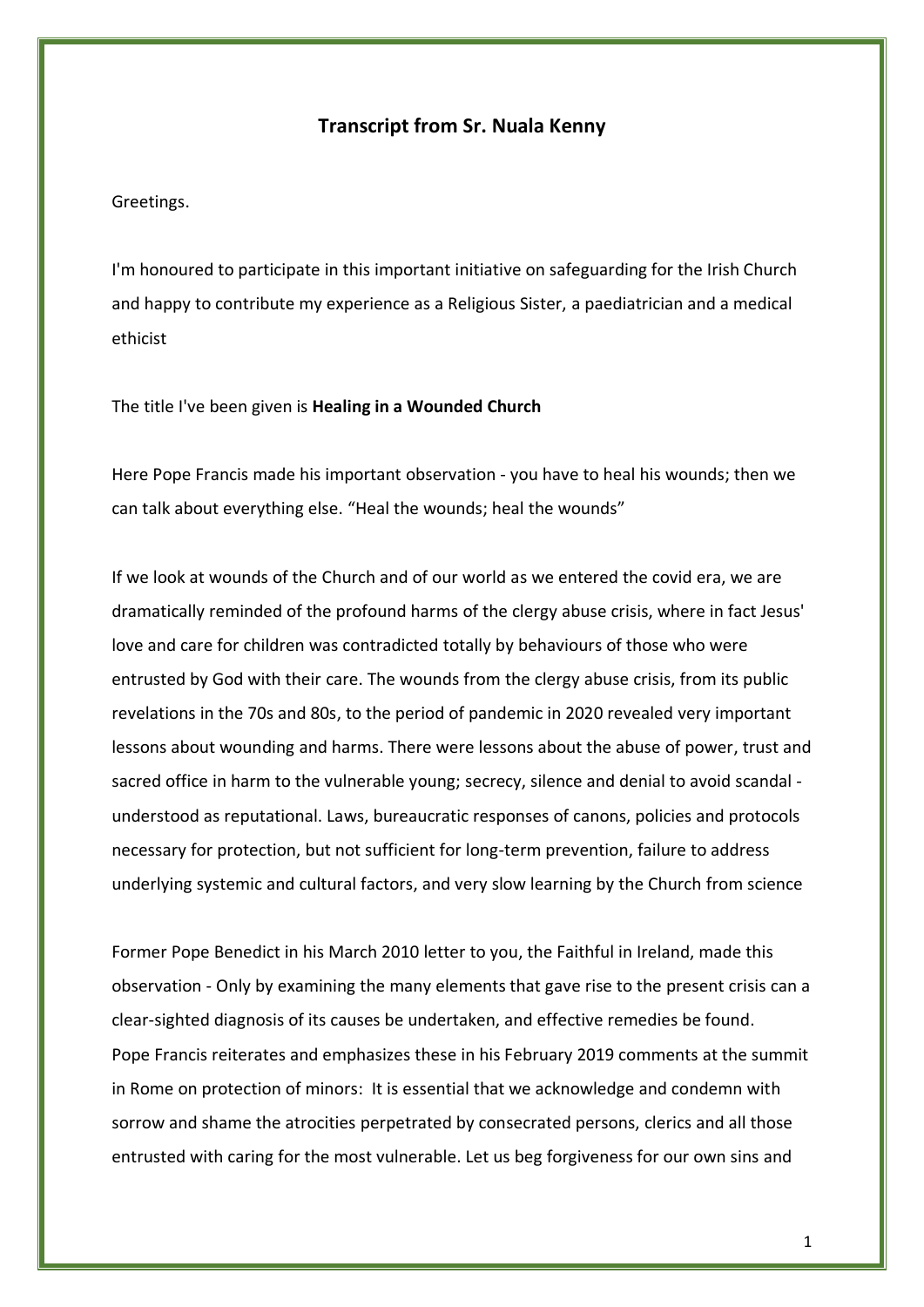## **Transcript from Sr. Nuala Kenny**

Greetings.

I'm honoured to participate in this important initiative on safeguarding for the Irish Church and happy to contribute my experience as a Religious Sister, a paediatrician and a medical ethicist

The title I've been given is **Healing in a Wounded Church**

Here Pope Francis made his important observation - you have to heal his wounds; then we can talk about everything else. "Heal the wounds; heal the wounds"

If we look at wounds of the Church and of our world as we entered the covid era, we are dramatically reminded of the profound harms of the clergy abuse crisis, where in fact Jesus' love and care for children was contradicted totally by behaviours of those who were entrusted by God with their care. The wounds from the clergy abuse crisis, from its public revelations in the 70s and 80s, to the period of pandemic in 2020 revealed very important lessons about wounding and harms. There were lessons about the abuse of power, trust and sacred office in harm to the vulnerable young; secrecy, silence and denial to avoid scandal understood as reputational. Laws, bureaucratic responses of canons, policies and protocols necessary for protection, but not sufficient for long-term prevention, failure to address underlying systemic and cultural factors, and very slow learning by the Church from science

Former Pope Benedict in his March 2010 letter to you, the Faithful in Ireland, made this observation - Only by examining the many elements that gave rise to the present crisis can a clear-sighted diagnosis of its causes be undertaken, and effective remedies be found. Pope Francis reiterates and emphasizes these in his February 2019 comments at the summit in Rome on protection of minors: It is essential that we acknowledge and condemn with sorrow and shame the atrocities perpetrated by consecrated persons, clerics and all those entrusted with caring for the most vulnerable. Let us beg forgiveness for our own sins and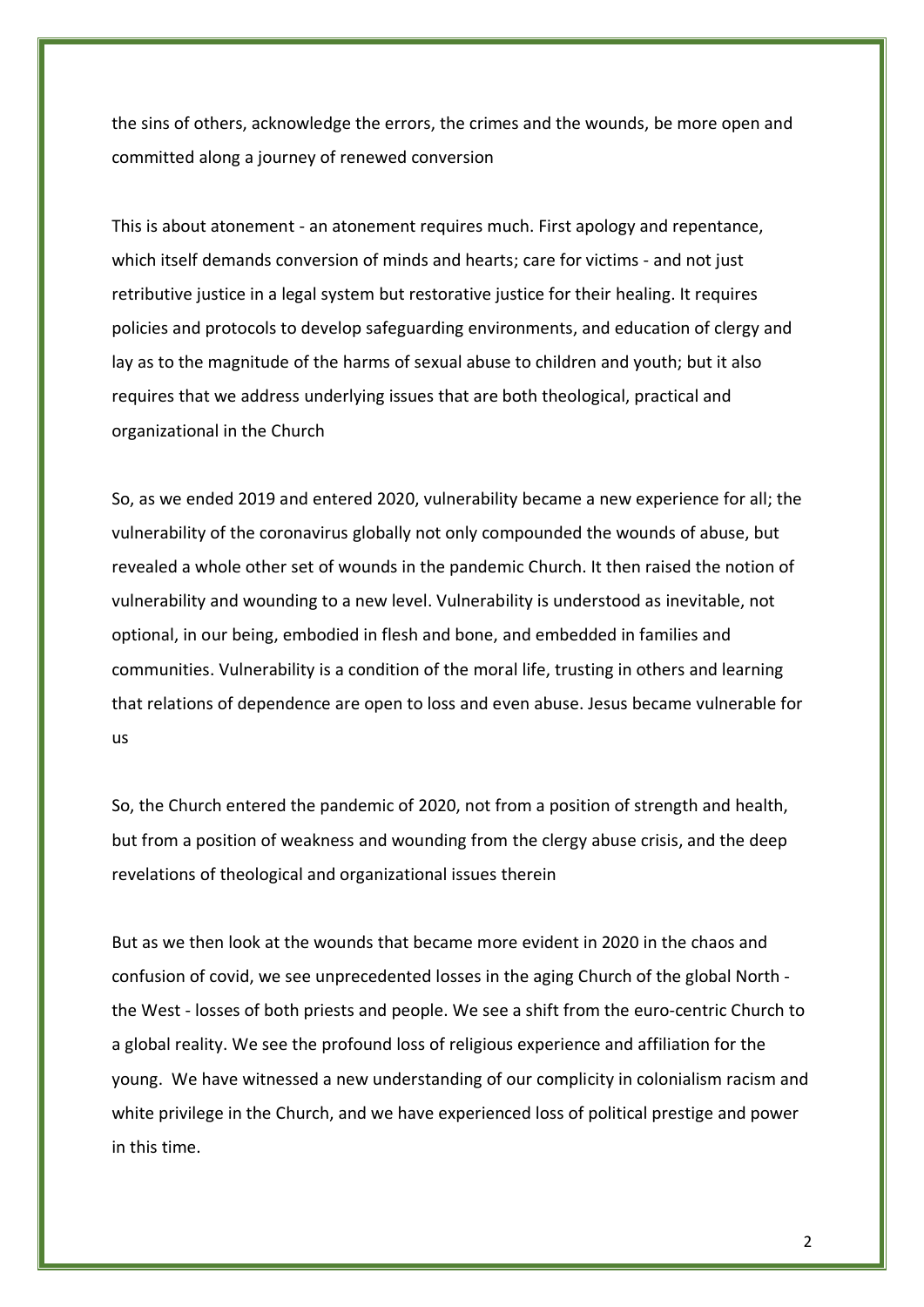the sins of others, acknowledge the errors, the crimes and the wounds, be more open and committed along a journey of renewed conversion

This is about atonement - an atonement requires much. First apology and repentance, which itself demands conversion of minds and hearts; care for victims - and not just retributive justice in a legal system but restorative justice for their healing. It requires policies and protocols to develop safeguarding environments, and education of clergy and lay as to the magnitude of the harms of sexual abuse to children and youth; but it also requires that we address underlying issues that are both theological, practical and organizational in the Church

So, as we ended 2019 and entered 2020, vulnerability became a new experience for all; the vulnerability of the coronavirus globally not only compounded the wounds of abuse, but revealed a whole other set of wounds in the pandemic Church. It then raised the notion of vulnerability and wounding to a new level. Vulnerability is understood as inevitable, not optional, in our being, embodied in flesh and bone, and embedded in families and communities. Vulnerability is a condition of the moral life, trusting in others and learning that relations of dependence are open to loss and even abuse. Jesus became vulnerable for us

So, the Church entered the pandemic of 2020, not from a position of strength and health, but from a position of weakness and wounding from the clergy abuse crisis, and the deep revelations of theological and organizational issues therein

But as we then look at the wounds that became more evident in 2020 in the chaos and confusion of covid, we see unprecedented losses in the aging Church of the global North the West - losses of both priests and people. We see a shift from the euro-centric Church to a global reality. We see the profound loss of religious experience and affiliation for the young. We have witnessed a new understanding of our complicity in colonialism racism and white privilege in the Church, and we have experienced loss of political prestige and power in this time.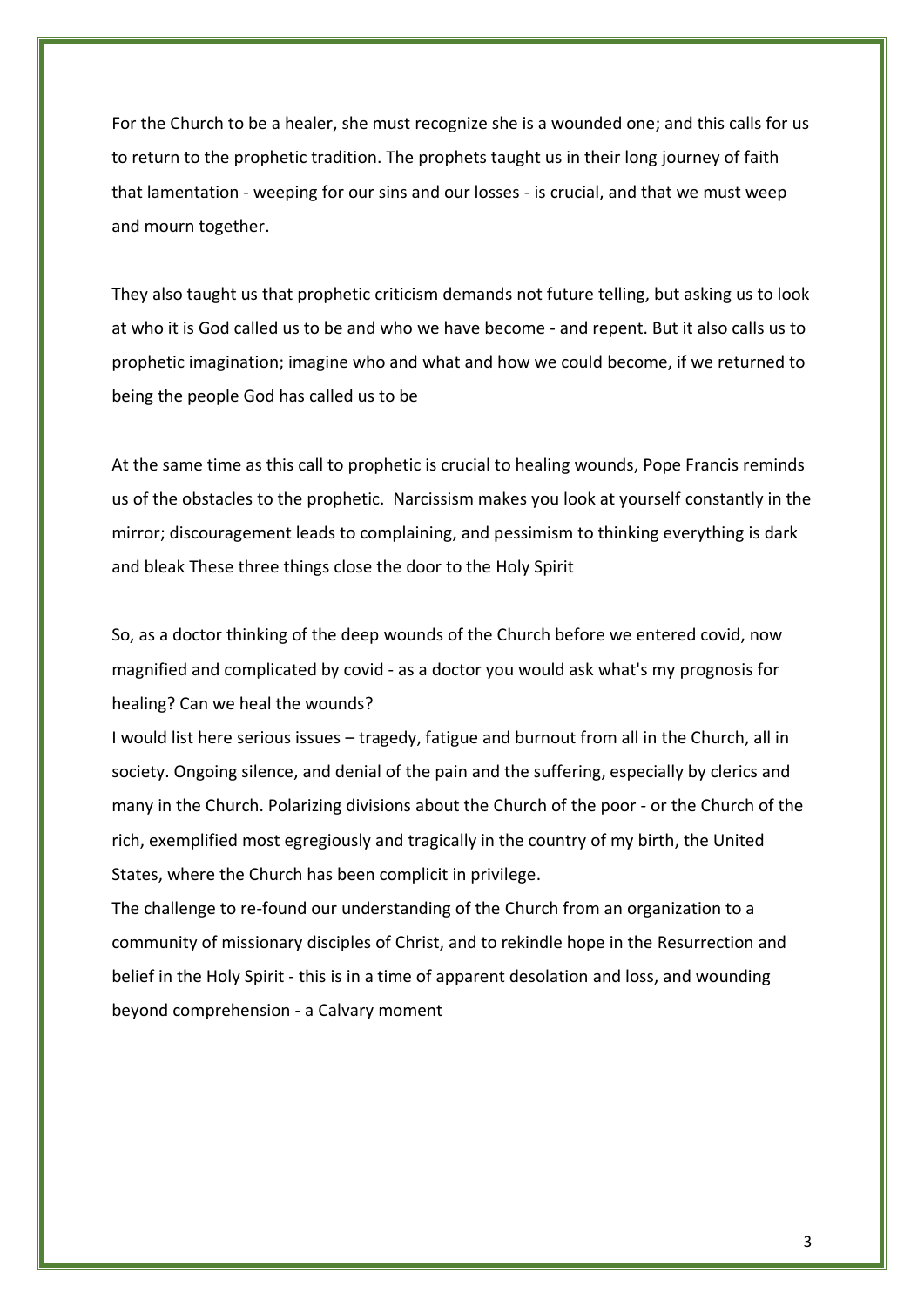For the Church to be a healer, she must recognize she is a wounded one; and this calls for us to return to the prophetic tradition. The prophets taught us in their long journey of faith that lamentation - weeping for our sins and our losses - is crucial, and that we must weep and mourn together.

They also taught us that prophetic criticism demands not future telling, but asking us to look at who it is God called us to be and who we have become - and repent. But it also calls us to prophetic imagination; imagine who and what and how we could become, if we returned to being the people God has called us to be

At the same time as this call to prophetic is crucial to healing wounds, Pope Francis reminds us of the obstacles to the prophetic. Narcissism makes you look at yourself constantly in the mirror; discouragement leads to complaining, and pessimism to thinking everything is dark and bleak These three things close the door to the Holy Spirit

So, as a doctor thinking of the deep wounds of the Church before we entered covid, now magnified and complicated by covid - as a doctor you would ask what's my prognosis for healing? Can we heal the wounds?

I would list here serious issues – tragedy, fatigue and burnout from all in the Church, all in society. Ongoing silence, and denial of the pain and the suffering, especially by clerics and many in the Church. Polarizing divisions about the Church of the poor - or the Church of the rich, exemplified most egregiously and tragically in the country of my birth, the United States, where the Church has been complicit in privilege.

The challenge to re-found our understanding of the Church from an organization to a community of missionary disciples of Christ, and to rekindle hope in the Resurrection and belief in the Holy Spirit - this is in a time of apparent desolation and loss, and wounding beyond comprehension - a Calvary moment